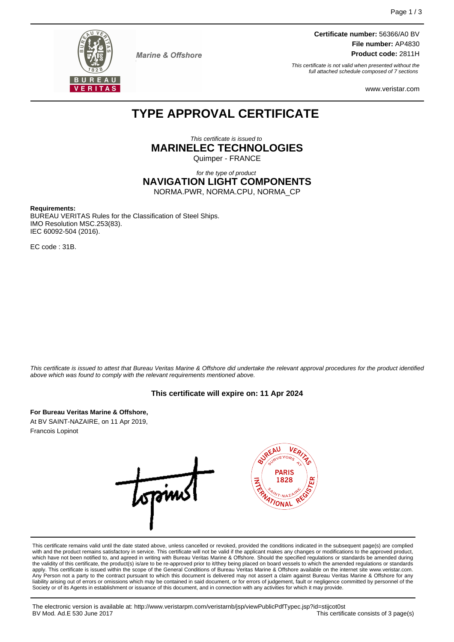

**Marine & Offshore** 

**Certificate number:** 56366/A0 BV **File number:** AP4830 **Product code:** 2811H

This certificate is not valid when presented without the full attached schedule composed of 7 sections

www.veristar.com

# **TYPE APPROVAL CERTIFICATE**

This certificate is issued to **MARINELEC TECHNOLOGIES**

Quimper - FRANCE

for the type of product **NAVIGATION LIGHT COMPONENTS** NORMA.PWR, NORMA.CPU, NORMA\_CP

**Requirements:**

BUREAU VERITAS Rules for the Classification of Steel Ships. IMO Resolution MSC.253(83). IEC 60092-504 (2016).

EC code : 31B.

This certificate is issued to attest that Bureau Veritas Marine & Offshore did undertake the relevant approval procedures for the product identified above which was found to comply with the relevant requirements mentioned above.

# **This certificate will expire on: 11 Apr 2024**

**For Bureau Veritas Marine & Offshore,**

At BV SAINT-NAZAIRE, on 11 Apr 2019, Francois Lopinot



This certificate remains valid until the date stated above, unless cancelled or revoked, provided the conditions indicated in the subsequent page(s) are complied with and the product remains satisfactory in service. This certificate will not be valid if the applicant makes any changes or modifications to the approved product, which have not been notified to, and agreed in writing with Bureau Veritas Marine & Offshore. Should the specified regulations or standards be amended during the validity of this certificate, the product(s) is/are to be re-approved prior to it/they being placed on board vessels to which the amended regulations or standards apply. This certificate is issued within the scope of the General Conditions of Bureau Veritas Marine & Offshore available on the internet site www.veristar.com. Any Person not a party to the contract pursuant to which this document is delivered may not assert a claim against Bureau Veritas Marine & Offshore for any liability arising out of errors or omissions which may be contained in said document, or for errors of judgement, fault or negligence committed by personnel of the Society or of its Agents in establishment or issuance of this document, and in connection with any activities for which it may provide.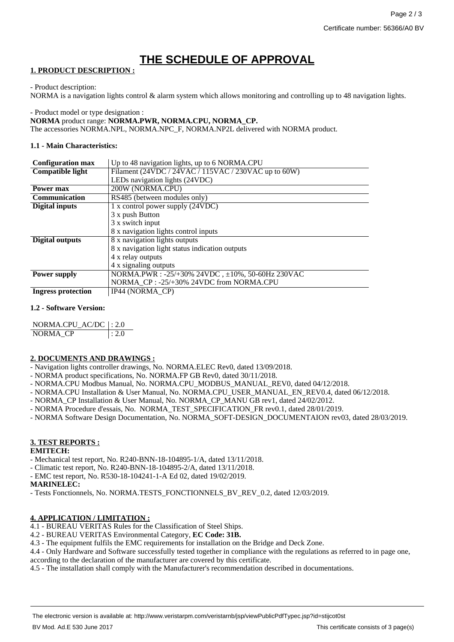# **THE SCHEDULE OF APPROVAL**

## **1. PRODUCT DESCRIPTION :**

- Product description:

NORMA is a navigation lights control & alarm system which allows monitoring and controlling up to 48 navigation lights.

- Product model or type designation :

**NORMA** product range: **NORMA.PWR, NORMA.CPU, NORMA\_CP.**

The accessories NORMA.NPL, NORMA.NPC\_F, NORMA.NP2L delivered with NORMA product.

## **1.1 - Main Characteristics:**

| <b>Configuration max</b>  | Up to 48 navigation lights, up to 6 NORMA.CPU        |
|---------------------------|------------------------------------------------------|
| Compatible light          | Filament (24VDC / 24VAC / 115VAC / 230VAC up to 60W) |
|                           | LEDs navigation lights (24VDC)                       |
| Power max                 | 200W (NORMA.CPU)                                     |
| <b>Communication</b>      | RS485 (between modules only)                         |
| Digital inputs            | 1 x control power supply (24VDC)                     |
|                           | 3 x push Button                                      |
|                           | 3 x switch input                                     |
|                           | 8 x navigation lights control inputs                 |
| <b>Digital outputs</b>    | 8 x navigation lights outputs                        |
|                           | 8 x navigation light status indication outputs       |
|                           | 4 x relay outputs                                    |
|                           | 4 x signaling outputs                                |
| <b>Power supply</b>       | NORMA.PWR : -25/+30% 24VDC, ±10%, 50-60Hz 230VAC     |
|                           | NORMA CP: -25/+30% 24VDC from NORMA.CPU              |
| <b>Ingress protection</b> | IP44 (NORMA CP)                                      |

## **1.2 - Software Version:**

| NORMA.CPU_AC/DC  : 2.0 |       |
|------------------------|-------|
| NORMA CP               | : 2.0 |

## **2. DOCUMENTS AND DRAWINGS :**

- Navigation lights controller drawings, No. NORMA.ELEC Rev0, dated 13/09/2018.
- NORMA product specifications, No. NORMA.FP GB Rev0, dated 30/11/2018.
- NORMA.CPU Modbus Manual, No. NORMA.CPU\_MODBUS\_MANUAL\_REV0, dated 04/12/2018.
- NORMA.CPU Installation & User Manual, No. NORMA.CPU\_USER\_MANUAL\_EN\_REV0.4, dated 06/12/2018.
- NORMA\_CP Installation & User Manual, No. NORMA\_CP\_MANU GB rev1, dated 24/02/2012.
- NORMA Procedure d'essais, No. NORMA\_TEST\_SPECIFICATION\_FR rev0.1, dated 28/01/2019.
- NORMA Software Design Documentation, No. NORMA\_SOFT-DESIGN\_DOCUMENTAION rev03, dated 28/03/2019.

# **3. TEST REPORTS :**

#### **EMITECH:**

- Mechanical test report, No. R240-BNN-18-104895-1/A, dated 13/11/2018.
- Climatic test report, No. R240-BNN-18-104895-2/A, dated 13/11/2018.
- EMC test report, No. R530-18-104241-1-A Ed 02, dated 19/02/2019.

## **MARINELEC:**

- Tests Fonctionnels, No. NORMA.TESTS\_FONCTIONNELS\_BV\_REV\_0.2, dated 12/03/2019.

## **4. APPLICATION / LIMITATION :**

4.1 - BUREAU VERITAS Rules for the Classification of Steel Ships.

4.2 - BUREAU VERITAS Environmental Category, **EC Code: 31B.**

4.3 - The equipment fulfils the EMC requirements for installation on the Bridge and Deck Zone.

4.4 - Only Hardware and Software successfully tested together in compliance with the regulations as referred to in page one,

according to the declaration of the manufacturer are covered by this certificate.

4.5 - The installation shall comply with the Manufacturer's recommendation described in documentations.